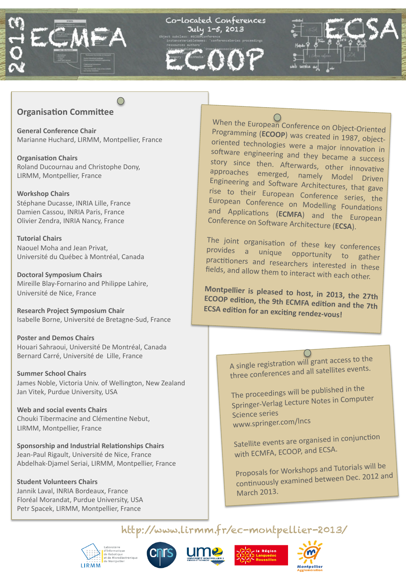

#### **Organisation Committee**

**General Conference Chair** Marianne Huchard, LIRMM, Montpellier, France

**Organisation Chairs** Roland Ducournau and Christophe Dony, LIRMM, Montpellier, France

**Workshop Chairs** Stéphane Ducasse, INRIA Lille, France Damien Cassou, INRIA Paris, France Olivier Zendra, INRIA Nancy, France

**Tutorial Chairs** Naouel Moha and Jean Privat, Université du Québec à Montréal, Canada

**Doctoral Symposium Chairs** Mireille Blay-Fornarino and Philippe Lahire, Université de Nice, France

**Research Project Symposium Chair** Isabelle Borne, Université de Bretagne-Sud, France

**Poster and Demos Chairs** Houari Sahraoui, Université De Montréal, Canada Bernard Carré, Université de Lille, France

**Summer School Chairs** James Noble, Victoria Univ. of Wellington, New Zealand Jan Vitek, Purdue University, USA

Web and social events Chairs Chouki Tibermacine and Clémentine Nebut, LIRMM, Montpellier, France

Sponsorship and Industrial Relationships Chairs Jean-Paul Rigault, Université de Nice, France Abdelhak-Djamel Seriai, LIRMM, Montpellier, France

**Student Volunteers Chairs** Jannik Laval, INRIA Bordeaux, France Floréal Morandat, Purdue University, USA Petr Spacek, LIRMM, Montpellier, France







http://www.lirmm.fr/ec-montpellier-2013/



When the European Conference on Object-Oriented Programming (ECOOP) was created in 1987, objectoriented technologies were a major innovation in software engineering and they became a success story since then. Afterwards, other innovative approaches emerged, namely Model Driven Engineering and Software Architectures, that gave rise to their European Conference series, the European Conference on Modelling Foundations and Applications (ECMFA) and the European Conference on Software Architecture (ECSA).

The joint organisation of these key conferences provides a unique opportunity to gather practitioners and researchers interested in these fields, and allow them to interact with each other.

Montpellier is pleased to host, in 2013, the 27th ECOOP edition, the 9th ECMFA edition and the 7th **ECSA edition for an exciting rendez-vous!** 

> A single registration will grant access to the three conferences and all satellites events.

The proceedings will be published in the Springer-Verlag Lecture Notes in Computer **Science series** www.springer.com/Incs

Satellite events are organised in conjunction with ECMFA, ECOOP, and ECSA.

Proposals for Workshops and Tutorials will be continuously examined between Dec. 2012 and **March 2013.**